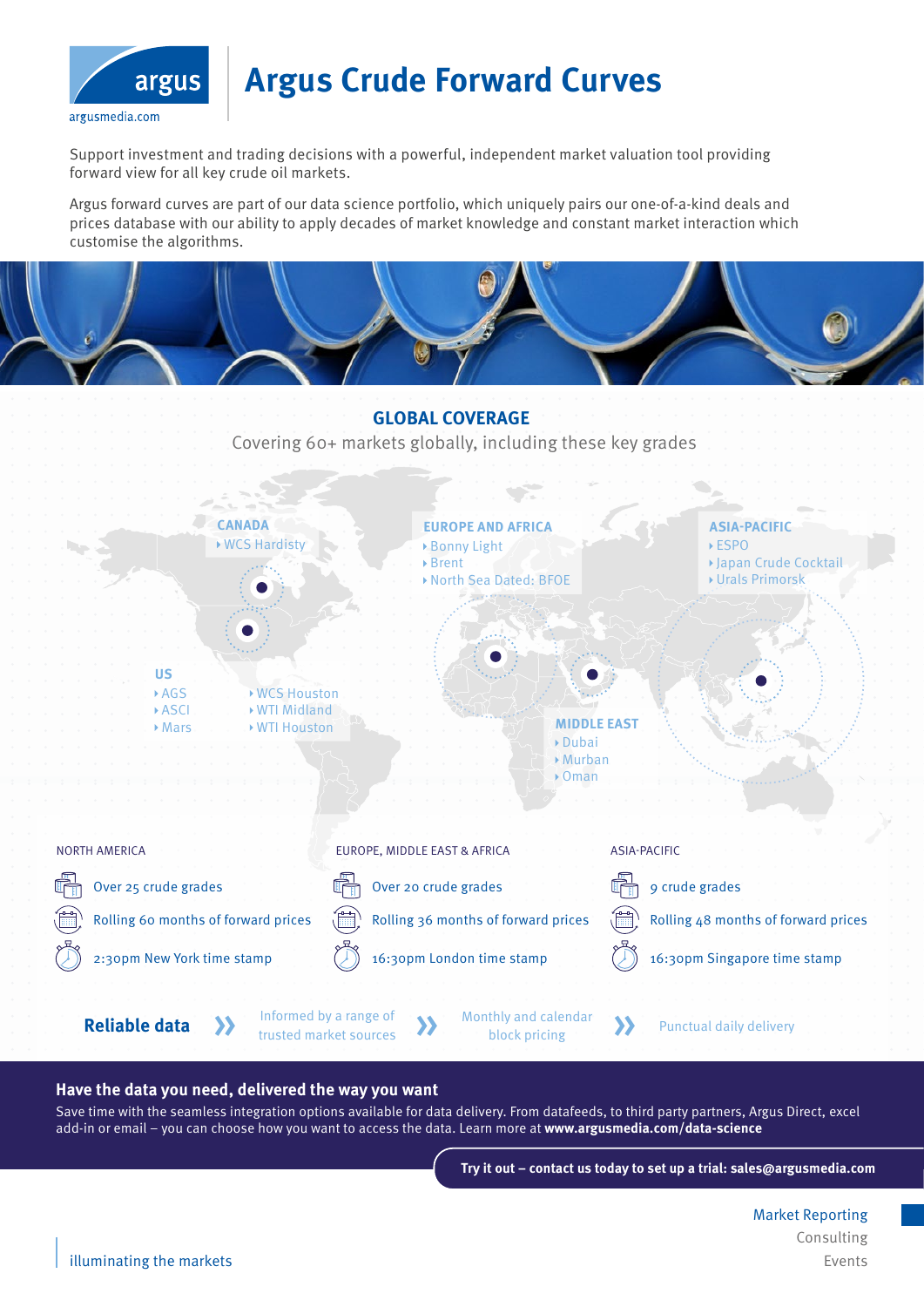

# **Argus Crude Forward Curves**

Support investment and trading decisions with a powerful, independent market valuation tool providing forward view for all key crude oil markets.

Argus forward curves are part of our data science portfolio, which uniquely pairs our one-of-a-kind deals and prices database with our ability to apply decades of market knowledge and constant market interaction which customise the algorithms.



### **Have the data you need, delivered the way you want**

Save time with the seamless integration options available for data delivery. From datafeeds, to third party partners, Argus Direct, excel add-in or email – you can choose how you want to access the data. Learn more at **www.argusmedia.com/data-science**

**Try it out – contact us today to set up a trial: sales@argusmedia.com** 

Market Reporting Consulting